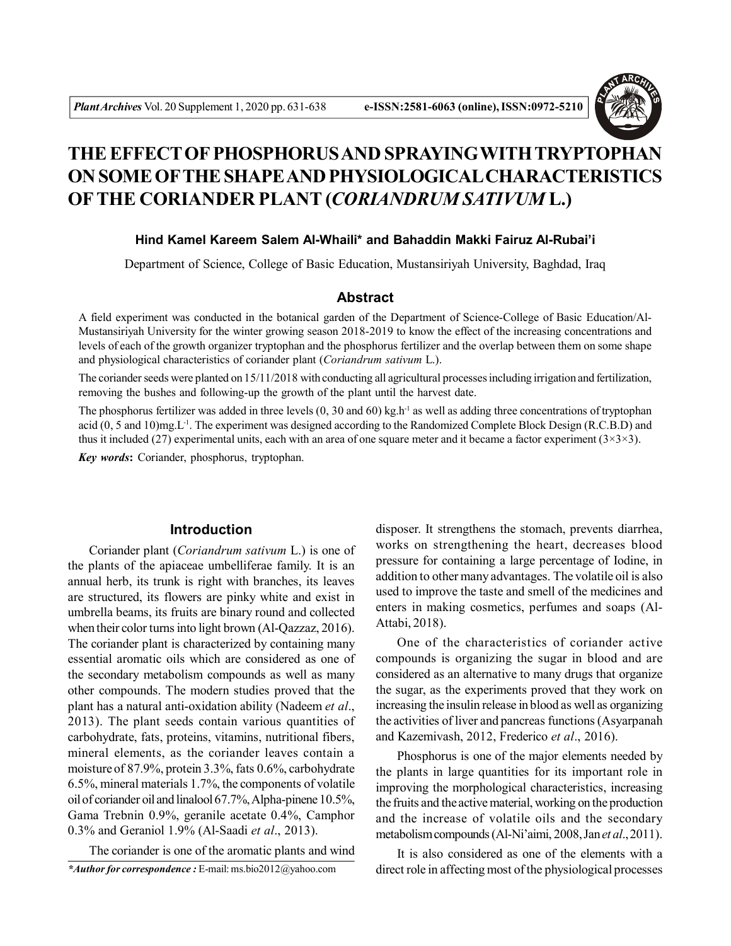

# **THE EFFECT OF PHOSPHORUS AND SPRAYINGWITH TRYPTOPHAN ON SOME OFTHE SHAPE AND PHYSIOLOGICAL CHARACTERISTICS OFTHE CORIANDER PLANT (***CORIANDRUM SATIVUM* **L.)**

## **Hind Kamel Kareem Salem Al-Whaili\* and Bahaddin Makki Fairuz Al-Rubai'i**

Department of Science, College of Basic Education, Mustansiriyah University, Baghdad, Iraq

## **Abstract**

A field experiment was conducted in the botanical garden of the Department of Science-College of Basic Education/Al-Mustansiriyah University for the winter growing season 2018-2019 to know the effect of the increasing concentrations and levels of each of the growth organizer tryptophan and the phosphorus fertilizer and the overlap between them on some shape and physiological characteristics of coriander plant (*Coriandrum sativum* L.).

The coriander seeds were planted on 15/11/2018 with conducting all agricultural processes including irrigation and fertilization, removing the bushes and following-up the growth of the plant until the harvest date.

The phosphorus fertilizer was added in three levels  $(0, 30 \text{ and } 60)$  kg.h<sup>-1</sup> as well as adding three concentrations of tryptophan acid (0, 5 and 10)mg.L-1. The experiment was designed according to the Randomized Complete Block Design (R.C.B.D) and thus it included (27) experimental units, each with an area of one square meter and it became a factor experiment ( $3\times3\times3$ ).

*Key words***:** Coriander, phosphorus, tryptophan.

## **Introduction**

Coriander plant (*Coriandrum sativum* L.) is one of the plants of the apiaceae umbelliferae family. It is an annual herb, its trunk is right with branches, its leaves are structured, its flowers are pinky white and exist in umbrella beams, its fruits are binary round and collected when their color turns into light brown (Al-Qazzaz, 2016). The coriander plant is characterized by containing many essential aromatic oils which are considered as one of the secondary metabolism compounds as well as many other compounds. The modern studies proved that the plant has a natural anti-oxidation ability (Nadeem *et al*., 2013). The plant seeds contain various quantities of carbohydrate, fats, proteins, vitamins, nutritional fibers, mineral elements, as the coriander leaves contain a moisture of 87.9%, protein 3.3%, fats 0.6%, carbohydrate 6.5%, mineral materials 1.7%, the components of volatile oil of coriander oil and linalool 67.7%, Alpha-pinene 10.5%, Gama Trebnin 0.9%, geranile acetate 0.4%, Camphor 0.3% and Geraniol 1.9% (Al-Saadi *et al*., 2013).

The coriander is one of the aromatic plants and wind

disposer. It strengthens the stomach, prevents diarrhea, works on strengthening the heart, decreases blood pressure for containing a large percentage of Iodine, in addition to other many advantages. The volatile oil is also used to improve the taste and smell of the medicines and enters in making cosmetics, perfumes and soaps (Al-Attabi, 2018).

One of the characteristics of coriander active compounds is organizing the sugar in blood and are considered as an alternative to many drugs that organize the sugar, as the experiments proved that they work on increasing the insulin release in blood as well as organizing the activities of liver and pancreas functions (Asyarpanah and Kazemivash, 2012, Frederico *et al*., 2016).

Phosphorus is one of the major elements needed by the plants in large quantities for its important role in improving the morphological characteristics, increasing the fruits and the active material, working on the production and the increase of volatile oils and the secondary metabolism compounds (Al-Ni'aimi, 2008, Jan *et al*., 2011).

It is also considered as one of the elements with a direct role in affecting most of the physiological processes

*<sup>\*</sup>Author for correspondence :* E-mail: ms.bio2012@yahoo.com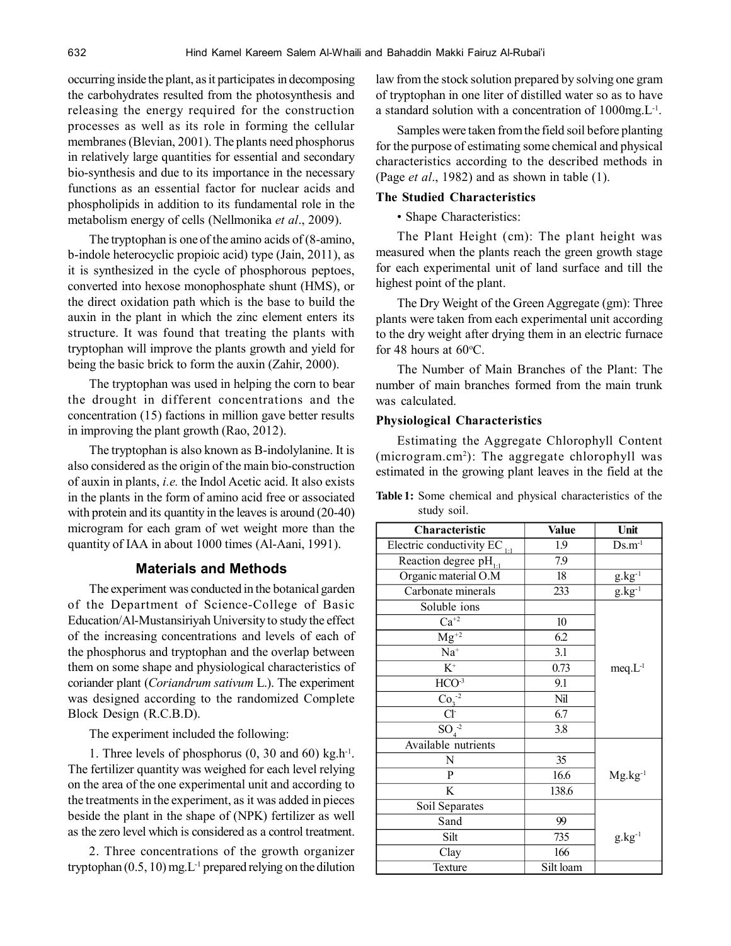occurring inside the plant, as it participates in decomposing the carbohydrates resulted from the photosynthesis and releasing the energy required for the construction processes as well as its role in forming the cellular membranes (Blevian, 2001). The plants need phosphorus in relatively large quantities for essential and secondary bio-synthesis and due to its importance in the necessary functions as an essential factor for nuclear acids and phospholipids in addition to its fundamental role in the metabolism energy of cells (Nellmonika *et al*., 2009).

The tryptophan is one of the amino acids of (8-amino, b-indole heterocyclic propioic acid) type (Jain, 2011), as it is synthesized in the cycle of phosphorous peptoes, converted into hexose monophosphate shunt (HMS), or the direct oxidation path which is the base to build the auxin in the plant in which the zinc element enters its structure. It was found that treating the plants with tryptophan will improve the plants growth and yield for being the basic brick to form the auxin (Zahir, 2000).

The tryptophan was used in helping the corn to bear the drought in different concentrations and the concentration (15) factions in million gave better results in improving the plant growth (Rao, 2012).

The tryptophan is also known as B-indolylanine. It is also considered as the origin of the main bio-construction of auxin in plants, *i.e.* the Indol Acetic acid. It also exists in the plants in the form of amino acid free or associated with protein and its quantity in the leaves is around (20-40) microgram for each gram of wet weight more than the quantity of IAA in about 1000 times (Al-Aani, 1991).

## **Materials and Methods**

The experiment was conducted in the botanical garden of the Department of Science-College of Basic Education/Al-Mustansiriyah University to study the effect of the increasing concentrations and levels of each of the phosphorus and tryptophan and the overlap between them on some shape and physiological characteristics of coriander plant (*Coriandrum sativum* L.). The experiment was designed according to the randomized Complete Block Design (R.C.B.D).

The experiment included the following:

1. Three levels of phosphorus  $(0, 30 \text{ and } 60)$  kg.h<sup>-1</sup>. The fertilizer quantity was weighed for each level relying on the area of the one experimental unit and according to the treatments in the experiment, as it was added in pieces beside the plant in the shape of (NPK) fertilizer as well as the zero level which is considered as a control treatment.

2. Three concentrations of the growth organizer tryptophan  $(0.5, 10)$  mg.  $L^{-1}$  prepared relying on the dilution law from the stock solution prepared by solving one gram of tryptophan in one liter of distilled water so as to have a standard solution with a concentration of 1000mg.L<sup>-1</sup>.

Samples were taken from the field soil before planting for the purpose of estimating some chemical and physical characteristics according to the described methods in (Page *et al*., 1982) and as shown in table (1).

## **The Studied Characteristics**

• Shape Characteristics:

The Plant Height (cm): The plant height was measured when the plants reach the green growth stage for each experimental unit of land surface and till the highest point of the plant.

The Dry Weight of the Green Aggregate (gm): Three plants were taken from each experimental unit according to the dry weight after drying them in an electric furnace for 48 hours at  $60^{\circ}$ C.

The Number of Main Branches of the Plant: The number of main branches formed from the main trunk was calculated.

## **Physiological Characteristics**

Estimating the Aggregate Chlorophyll Content (microgram.cm<sup>2</sup> ): The aggregate chlorophyll was estimated in the growing plant leaves in the field at the

**Table 1:** Some chemical and physical characteristics of the study soil.

| Characteristic                    | <b>Value</b> | Unit                          |
|-----------------------------------|--------------|-------------------------------|
| Electric conductivity EC $_{1:1}$ | 1.9          | $Ds.m^{-1}$                   |
| Reaction degree $pH_{11}$         | 7.9          |                               |
| Organic material O.M              | 18           | $\frac{g.kg^{-1}}{g.kg^{-1}}$ |
| Carbonate minerals                | 233          |                               |
| Soluble ions                      |              |                               |
| $Ca^{+2}$                         | 10           |                               |
| $Mg^{+2}$                         | 6.2          |                               |
| $Na+$                             | 3.1          |                               |
| $\overline{K^+}$                  | 0.73         | $meq.L^{-1}$                  |
| $HCO-3$                           | 9.1          |                               |
| $\overline{\text{Co}_3}^{-2}$     | Nil          |                               |
| Cl <sup>2</sup>                   | 6.7          |                               |
| $\overline{{\rm SO}_4^2}$         | 3.8          |                               |
| Available nutrients               |              |                               |
| N                                 | 35           |                               |
| $\mathbf{P}$                      | 16.6         | $Mg.kg^{-1}$                  |
| K                                 | 138.6        |                               |
| Soil Separates                    |              |                               |
| Sand                              | 99           |                               |
| Silt                              | 735          | $g_{.}kg^{-1}$                |
| Clay                              | 166          |                               |
| Texture                           | Silt loam    |                               |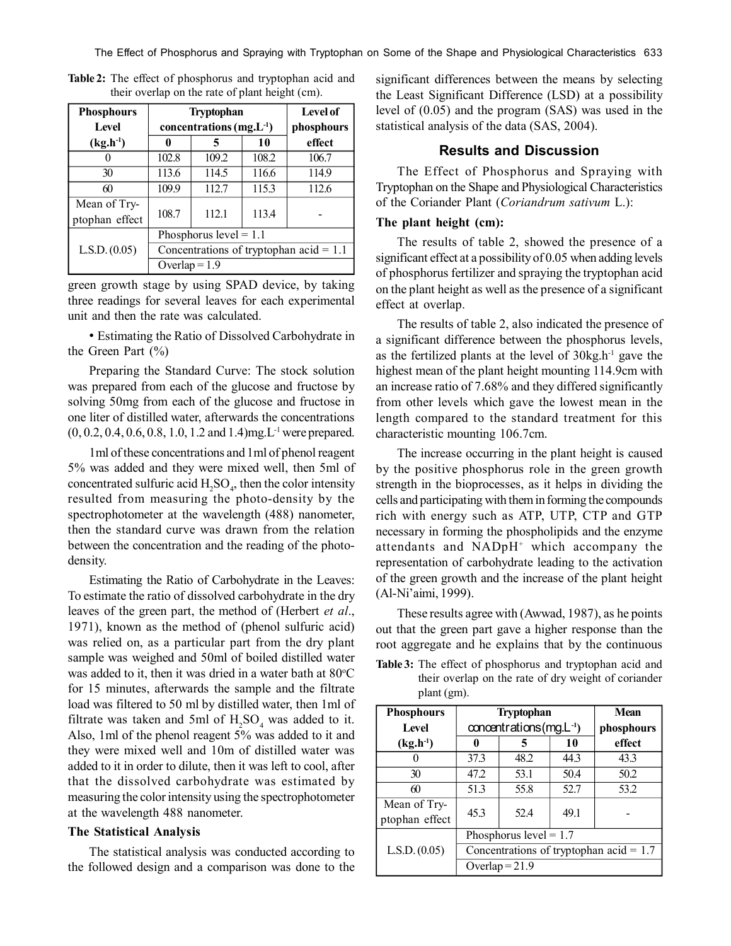| <b>Phosphours</b><br><b>Level</b> | <b>Tryptophan</b><br>concentrations $(mg.L^{-1})$                                                         |       |        | Level of<br>phosphours |
|-----------------------------------|-----------------------------------------------------------------------------------------------------------|-------|--------|------------------------|
| $(kg.h^{-1})$                     | 10<br>0<br>5                                                                                              |       | effect |                        |
|                                   | 102.8                                                                                                     | 109.2 | 108.2  | 106.7                  |
| 30                                | 113.6                                                                                                     | 114.5 | 116.6  | 114.9                  |
| 60                                | 109.9                                                                                                     | 112.7 | 115.3  | 112.6                  |
| Mean of Try-<br>ptophan effect    | 108.7                                                                                                     | 112.1 | 113.4  |                        |
|                                   | Phosphorus $level = 1.1$<br>L.S.D. (0.05)<br>Concentrations of tryptophan acid = $1.1$<br>Overlap = $1.9$ |       |        |                        |
|                                   |                                                                                                           |       |        |                        |
|                                   |                                                                                                           |       |        |                        |

**Table 2:** The effect of phosphorus and tryptophan acid and their overlap on the rate of plant height (cm).

green growth stage by using SPAD device, by taking three readings for several leaves for each experimental unit and then the rate was calculated.

• Estimating the Ratio of Dissolved Carbohydrate in the Green Part  $(\% )$ 

Preparing the Standard Curve: The stock solution was prepared from each of the glucose and fructose by solving 50mg from each of the glucose and fructose in one liter of distilled water, afterwards the concentrations  $(0, 0.2, 0.4, 0.6, 0.8, 1.0, 1.2, and 1.4)$ mg.L<sup>-1</sup> were prepared.

1ml of these concentrations and 1ml of phenol reagent 5% was added and they were mixed well, then 5ml of concentrated sulfuric acid  $H_2SO_4$ , then the color intensity resulted from measuring the photo-density by the spectrophotometer at the wavelength (488) nanometer, then the standard curve was drawn from the relation between the concentration and the reading of the photodensity.

Estimating the Ratio of Carbohydrate in the Leaves: To estimate the ratio of dissolved carbohydrate in the dry leaves of the green part, the method of (Herbert *et al*., 1971), known as the method of (phenol sulfuric acid) was relied on, as a particular part from the dry plant sample was weighed and 50ml of boiled distilled water was added to it, then it was dried in a water bath at  $80^{\circ}$ C for 15 minutes, afterwards the sample and the filtrate load was filtered to 50 ml by distilled water, then 1ml of filtrate was taken and 5ml of  $H_2SO_4$  was added to it. Also, 1ml of the phenol reagent 5% was added to it and they were mixed well and 10m of distilled water was added to it in order to dilute, then it was left to cool, after that the dissolved carbohydrate was estimated by measuring the color intensity using the spectrophotometer at the wavelength 488 nanometer.

#### **The Statistical Analysis**

The statistical analysis was conducted according to the followed design and a comparison was done to the significant differences between the means by selecting the Least Significant Difference (LSD) at a possibility level of (0.05) and the program (SAS) was used in the statistical analysis of the data (SAS, 2004).

## **Results and Discussion**

The Effect of Phosphorus and Spraying with Tryptophan on the Shape and Physiological Characteristics of the Coriander Plant (*Coriandrum sativum* L.):

## **The plant height (cm):**

The results of table 2, showed the presence of a significant effect at a possibility of 0.05 when adding levels of phosphorus fertilizer and spraying the tryptophan acid on the plant height as well as the presence of a significant effect at overlap.

The results of table 2, also indicated the presence of a significant difference between the phosphorus levels, as the fertilized plants at the level of  $30kg.h^{-1}$  gave the highest mean of the plant height mounting 114.9cm with an increase ratio of 7.68% and they differed significantly from other levels which gave the lowest mean in the length compared to the standard treatment for this characteristic mounting 106.7cm.

The increase occurring in the plant height is caused by the positive phosphorus role in the green growth strength in the bioprocesses, as it helps in dividing the cells and participating with them in forming the compounds rich with energy such as ATP, UTP, CTP and GTP necessary in forming the phospholipids and the enzyme attendants and NADpH<sup>+</sup> which accompany the representation of carbohydrate leading to the activation of the green growth and the increase of the plant height (Al-Ni'aimi, 1999).

These results agree with (Awwad, 1987), as he points out that the green part gave a higher response than the root aggregate and he explains that by the continuous

**Table 3:** The effect of phosphorus and tryptophan acid and their overlap on the rate of dry weight of coriander plant (gm).

| <b>Phosphours</b> | <b>Tryptophan</b>                         |      |      | <b>Mean</b> |
|-------------------|-------------------------------------------|------|------|-------------|
| <b>Level</b>      | $concentrations(mg.L^{-1})$               |      |      | phosphours  |
| $(kg.h^{-1})$     | 0                                         | 5    | 10   | effect      |
|                   | 37.3                                      | 48.2 | 44.3 | 43.3        |
| 30                | 47.2                                      | 53.1 | 50.4 | 50.2        |
| 60                | 51.3                                      | 55.8 | 52.7 | 53.2        |
| Mean of Try-      | 45.3                                      | 52.4 | 49.1 |             |
| ptophan effect    |                                           |      |      |             |
|                   | Phosphorus level = $1.7$                  |      |      |             |
| L.S.D. (0.05)     | Concentrations of tryptophan acid = $1.7$ |      |      |             |
|                   | Overlap = $21.9$                          |      |      |             |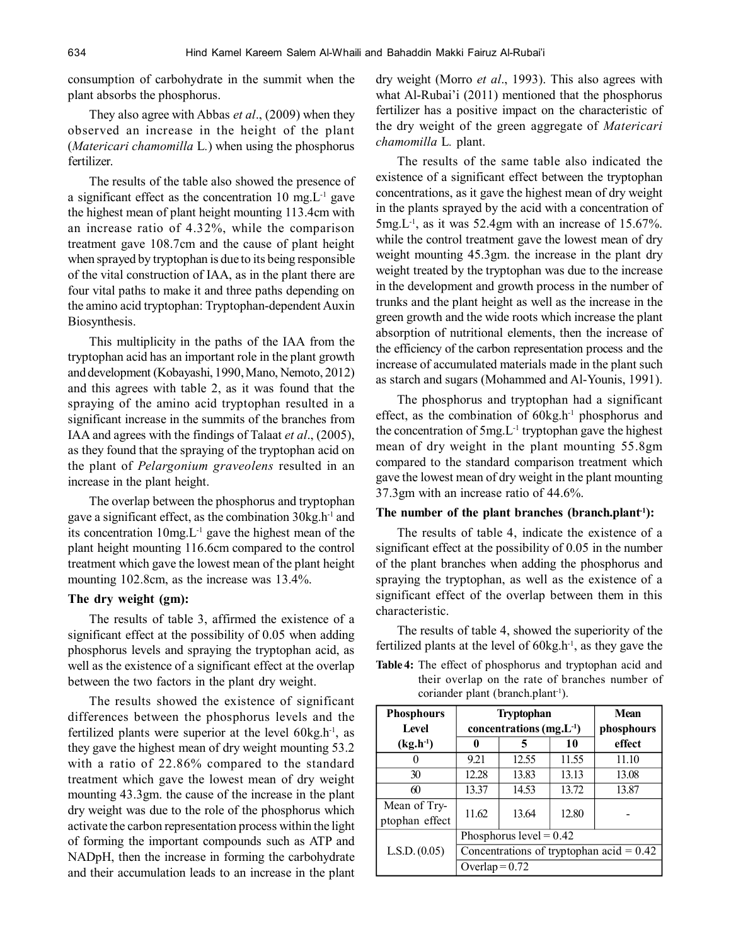consumption of carbohydrate in the summit when the plant absorbs the phosphorus.

They also agree with Abbas *et al*., (2009) when they observed an increase in the height of the plant (*Matericari chamomilla* L*.*) when using the phosphorus fertilizer.

The results of the table also showed the presence of a significant effect as the concentration 10 mg.L-1 gave the highest mean of plant height mounting 113.4cm with an increase ratio of 4.32%, while the comparison treatment gave 108.7cm and the cause of plant height when sprayed by tryptophan is due to its being responsible of the vital construction of IAA, as in the plant there are four vital paths to make it and three paths depending on the amino acid tryptophan: Tryptophan-dependent Auxin Biosynthesis.

This multiplicity in the paths of the IAA from the tryptophan acid has an important role in the plant growth and development (Kobayashi, 1990, Mano, Nemoto, 2012) and this agrees with table 2, as it was found that the spraying of the amino acid tryptophan resulted in a significant increase in the summits of the branches from IAA and agrees with the findings of Talaat *et al*., (2005), as they found that the spraying of the tryptophan acid on the plant of *Pelargonium graveolens* resulted in an increase in the plant height.

The overlap between the phosphorus and tryptophan gave a significant effect, as the combination  $30kg.h^{-1}$  and its concentration  $10mg.L^{-1}$  gave the highest mean of the plant height mounting 116.6cm compared to the control treatment which gave the lowest mean of the plant height mounting 102.8cm, as the increase was 13.4%.

#### **The dry weight (gm):**

The results of table 3, affirmed the existence of a significant effect at the possibility of 0.05 when adding phosphorus levels and spraying the tryptophan acid, as well as the existence of a significant effect at the overlap between the two factors in the plant dry weight.

The results showed the existence of significant differences between the phosphorus levels and the fertilized plants were superior at the level  $60kg.h^{-1}$ , as they gave the highest mean of dry weight mounting 53.2 with a ratio of 22.86% compared to the standard treatment which gave the lowest mean of dry weight mounting 43.3gm. the cause of the increase in the plant dry weight was due to the role of the phosphorus which activate the carbon representation process within the light of forming the important compounds such as ATP and NADpH, then the increase in forming the carbohydrate and their accumulation leads to an increase in the plant dry weight (Morro *et al*., 1993). This also agrees with what Al-Rubai'i (2011) mentioned that the phosphorus fertilizer has a positive impact on the characteristic of the dry weight of the green aggregate of *Matericari chamomilla* L*.* plant.

The results of the same table also indicated the existence of a significant effect between the tryptophan concentrations, as it gave the highest mean of dry weight in the plants sprayed by the acid with a concentration of 5mg.L-1, as it was 52.4gm with an increase of 15.67%. while the control treatment gave the lowest mean of dry weight mounting 45.3gm. the increase in the plant dry weight treated by the tryptophan was due to the increase in the development and growth process in the number of trunks and the plant height as well as the increase in the green growth and the wide roots which increase the plant absorption of nutritional elements, then the increase of the efficiency of the carbon representation process and the increase of accumulated materials made in the plant such as starch and sugars (Mohammed and Al-Younis, 1991).

The phosphorus and tryptophan had a significant effect, as the combination of 60kg.h<sup>-1</sup> phosphorus and the concentration of  $5mg.L^{-1}$  tryptophan gave the highest mean of dry weight in the plant mounting 55.8gm compared to the standard comparison treatment which gave the lowest mean of dry weight in the plant mounting 37.3gm with an increase ratio of 44.6%.

#### **The number of the plant branches (branch.plant-1):**

The results of table 4, indicate the existence of a significant effect at the possibility of 0.05 in the number of the plant branches when adding the phosphorus and spraying the tryptophan, as well as the existence of a significant effect of the overlap between them in this characteristic.

The results of table 4, showed the superiority of the fertilized plants at the level of  $60kg.h^{-1}$ , as they gave the

**Table 4:** The effect of phosphorus and tryptophan acid and their overlap on the rate of branches number of coriander plant (branch.plant<sup>-1</sup>).

| <b>Phosphours</b> | <b>Tryptophan</b>                          |                           |       | Mean       |
|-------------------|--------------------------------------------|---------------------------|-------|------------|
| Level             | concentrations $(mg.L^{-1})$               |                           |       | phosphours |
| $(kg.h^{-1})$     | 0                                          | 5                         | 10    | effect     |
| 0                 | 9.21                                       | 12.55                     | 11.55 | 11.10      |
| 30                | 12.28                                      | 13.83                     | 13.13 | 13.08      |
| 60                | 13.37                                      | 14.53                     | 13.72 | 13.87      |
| Mean of Try-      |                                            |                           |       |            |
| ptophan effect    | 11.62                                      | 13.64                     | 12.80 |            |
|                   |                                            | Phosphorus level = $0.42$ |       |            |
| L.S.D. (0.05)     | Concentrations of tryptophan acid = $0.42$ |                           |       |            |
|                   | Overlap = $0.72$                           |                           |       |            |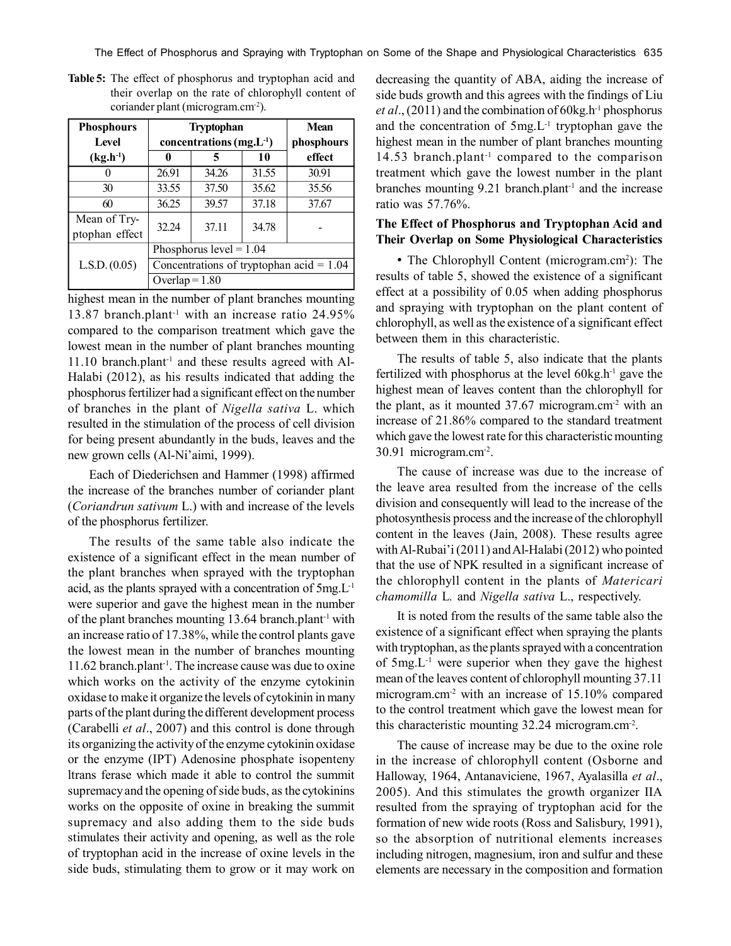The Effect of Phosphorus and Spraying with Tryptophan on Some of the Shape and Physiological Characteristics 635

| <b>Phosphours</b><br><b>Level</b> | <b>Tryptophan</b><br>concentrations $(mg.L^{-1})$ |       |        | <b>Mean</b><br>phosphours |
|-----------------------------------|---------------------------------------------------|-------|--------|---------------------------|
| $(kg.h^{-1})$                     | 10<br>0<br>5                                      |       | effect |                           |
|                                   | 26.91                                             | 34.26 | 31.55  | 30.91                     |
| 30                                | 33.55                                             | 37.50 | 35.62  | 35.56                     |
| 60                                | 36.25                                             | 39.57 | 37.18  | 37.67                     |
| Mean of Try-<br>ptophan effect    | 32.24                                             | 37.11 | 34.78  |                           |
|                                   | Phosphorus level = $1.04$                         |       |        |                           |
| L.S.D. (0.05)                     | Concentrations of tryptophan acid = $1.04$        |       |        |                           |
|                                   | Overlap = $1.80$                                  |       |        |                           |

**Table 5:** The effect of phosphorus and tryptophan acid and their overlap on the rate of chlorophyll content of coriander plant (microgram.cm-2).

highest mean in the number of plant branches mounting 13.87 branch.plant<sup>-1</sup> with an increase ratio 24.95% compared to the comparison treatment which gave the lowest mean in the number of plant branches mounting  $11.10$  branch.plant<sup>-1</sup> and these results agreed with Al-Halabi (2012), as his results indicated that adding the phosphorus fertilizer had a significant effect on the number of branches in the plant of *Nigella sativa* L. which resulted in the stimulation of the process of cell division for being present abundantly in the buds, leaves and the new grown cells (Al-Ni'aimi, 1999).

Each of Diederichsen and Hammer (1998) affirmed the increase of the branches number of coriander plant (*Coriandrun sativum* L.) with and increase of the levels of the phosphorus fertilizer.

The results of the same table also indicate the existence of a significant effect in the mean number of the plant branches when sprayed with the tryptophan acid, as the plants sprayed with a concentration of 5mg.L-1 were superior and gave the highest mean in the number of the plant branches mounting 13.64 branch.plant<sup>-1</sup> with an increase ratio of 17.38%, while the control plants gave the lowest mean in the number of branches mounting 11.62 branch.plant-1. The increase cause was due to oxine which works on the activity of the enzyme cytokinin oxidase to make it organize the levels of cytokinin in many parts of the plant during the different development process (Carabelli *et al*., 2007) and this control is done through its organizing the activity of the enzyme cytokinin oxidase or the enzyme (IPT) Adenosine phosphate isopenteny ltrans ferase which made it able to control the summit supremacy and the opening of side buds, as the cytokinins works on the opposite of oxine in breaking the summit supremacy and also adding them to the side buds stimulates their activity and opening, as well as the role of tryptophan acid in the increase of oxine levels in the side buds, stimulating them to grow or it may work on

decreasing the quantity of ABA, aiding the increase of side buds growth and this agrees with the findings of Liu *et al.*, (2011) and the combination of  $60kg.h^{-1}$  phosphorus and the concentration of 5mg.L-1 tryptophan gave the highest mean in the number of plant branches mounting 14.53 branch.plant-1 compared to the comparison treatment which gave the lowest number in the plant branches mounting  $9.21$  branch.plant<sup>-1</sup> and the increase ratio was 57.76%.

## **The Effect of Phosphorus and Tryptophan Acid and Their Overlap on Some Physiological Characteristics**

• The Chlorophyll Content (microgram.cm<sup>2</sup>): The results of table 5, showed the existence of a significant effect at a possibility of 0.05 when adding phosphorus and spraying with tryptophan on the plant content of chlorophyll, as well as the existence of a significant effect between them in this characteristic.

The results of table 5, also indicate that the plants fertilized with phosphorus at the level  $60kg.h^{-1}$  gave the highest mean of leaves content than the chlorophyll for the plant, as it mounted  $37.67$  microgram.cm<sup>-2</sup> with an increase of 21.86% compared to the standard treatment which gave the lowest rate for this characteristic mounting 30.91 microgram.cm-2 .

The cause of increase was due to the increase of the leave area resulted from the increase of the cells division and consequently will lead to the increase of the photosynthesis process and the increase of the chlorophyll content in the leaves (Jain, 2008). These results agree with Al-Rubai'i (2011) and Al-Halabi (2012) who pointed that the use of NPK resulted in a significant increase of the chlorophyll content in the plants of *Matericari chamomilla* L*.* and *Nigella sativa* L., respectively.

It is noted from the results of the same table also the existence of a significant effect when spraying the plants with tryptophan, as the plants sprayed with a concentration of 5mg.L-1 were superior when they gave the highest mean of the leaves content of chlorophyll mounting 37.11 microgram.cm-2 with an increase of 15.10% compared to the control treatment which gave the lowest mean for this characteristic mounting 32.24 microgram.cm-2 .

The cause of increase may be due to the oxine role in the increase of chlorophyll content (Osborne and Halloway, 1964, Antanaviciene, 1967, Ayalasilla *et al*., 2005). And this stimulates the growth organizer IIA resulted from the spraying of tryptophan acid for the formation of new wide roots (Ross and Salisbury, 1991), so the absorption of nutritional elements increases including nitrogen, magnesium, iron and sulfur and these elements are necessary in the composition and formation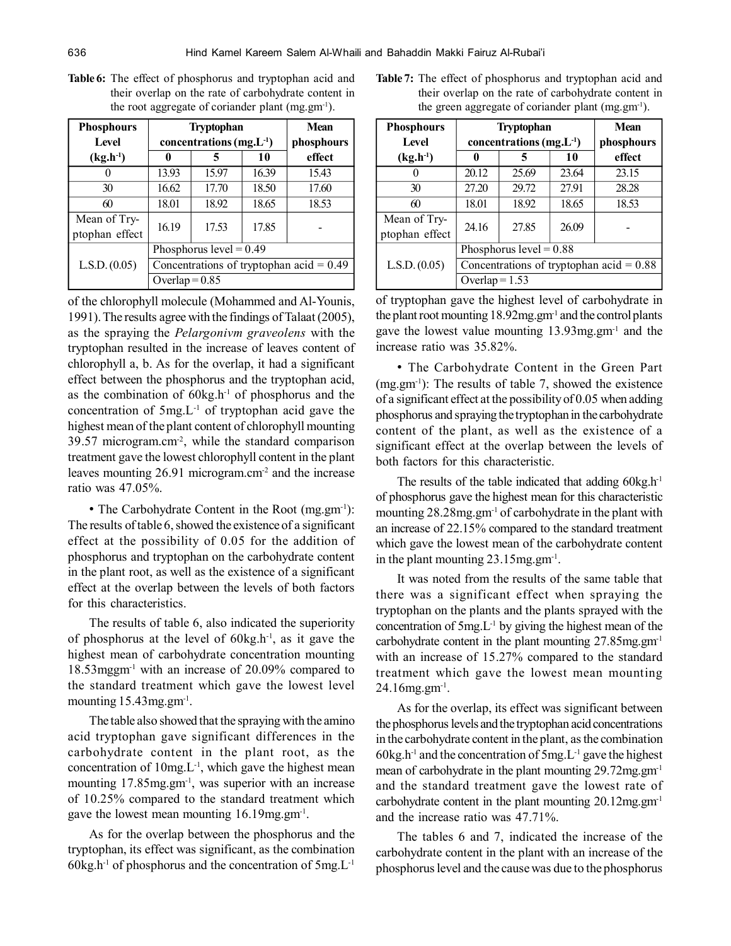| <b>Phosphours</b> | <b>Tryptophan</b>                          |                |       | <b>Mean</b> |
|-------------------|--------------------------------------------|----------------|-------|-------------|
| Level             | concentrations $(mg.L^{-1})$               |                |       | phosphours  |
| $(kg.h^{-1})$     | 0                                          | 5              | 10    | effect      |
| 0                 | 13.93                                      | 15.97          | 16.39 | 15.43       |
| 30                | 16.62                                      | 17.70          | 18.50 | 17.60       |
| 60                | 18.01                                      | 18.92          | 18.65 | 18.53       |
| Mean of Try-      | 16.19                                      | 17.53<br>17.85 |       |             |
| ptophan effect    |                                            |                |       |             |
|                   | Phosphorus level = $0.49$                  |                |       |             |
| L.S.D. (0.05)     | Concentrations of tryptophan acid = $0.49$ |                |       |             |
|                   | Overlap = $0.85$                           |                |       |             |

**Table 6:** The effect of phosphorus and tryptophan acid and their overlap on the rate of carbohydrate content in the root aggregate of coriander plant  $(mg,gm^{-1})$ .

of the chlorophyll molecule (Mohammed and Al-Younis, 1991). The results agree with the findings of Talaat (2005), as the spraying the *Pelargonivm graveolens* with the tryptophan resulted in the increase of leaves content of chlorophyll a, b. As for the overlap, it had a significant effect between the phosphorus and the tryptophan acid, as the combination of  $60kg.h^{-1}$  of phosphorus and the concentration of  $5mg.L^{-1}$  of tryptophan acid gave the highest mean of the plant content of chlorophyll mounting 39.57 microgram.cm-2, while the standard comparison treatment gave the lowest chlorophyll content in the plant leaves mounting 26.91 microgram.cm<sup>-2</sup> and the increase ratio was 47.05%.

• The Carbohydrate Content in the Root (mg.gm<sup>-1</sup>): The results of table 6, showed the existence of a significant effect at the possibility of 0.05 for the addition of phosphorus and tryptophan on the carbohydrate content in the plant root, as well as the existence of a significant effect at the overlap between the levels of both factors for this characteristics.

The results of table 6, also indicated the superiority of phosphorus at the level of  $60kg.h^{-1}$ , as it gave the highest mean of carbohydrate concentration mounting 18.53mggm-1 with an increase of 20.09% compared to the standard treatment which gave the lowest level mounting 15.43mg.gm<sup>-1</sup>.

The table also showed that the spraying with the amino acid tryptophan gave significant differences in the carbohydrate content in the plant root, as the concentration of  $10mg.L^{-1}$ , which gave the highest mean mounting 17.85mg.gm<sup>-1</sup>, was superior with an increase of 10.25% compared to the standard treatment which gave the lowest mean mounting 16.19mg.gm<sup>-1</sup>.

As for the overlap between the phosphorus and the tryptophan, its effect was significant, as the combination  $60kg.h^{-1}$  of phosphorus and the concentration of  $5mg.L^{-1}$ 

| <b>Table 7:</b> The effect of phosphorus and tryptophan acid and |
|------------------------------------------------------------------|
| their overlap on the rate of carbohydrate content in             |
| the green aggregate of coriander plant $(mg, gm^{-1})$ .         |

| <b>Phosphours</b><br><b>Level</b> | <b>Tryptophan</b><br>concentrations $(mg.L^{-1})$ |       |       | <b>Mean</b><br>phosphours |
|-----------------------------------|---------------------------------------------------|-------|-------|---------------------------|
| $(kg.h^{-1})$                     | 0                                                 | 5     | 10    | effect                    |
|                                   | 20.12                                             | 25.69 | 23.64 | 23.15                     |
| 30                                | 27.20                                             | 29.72 | 27.91 | 28.28                     |
| 60                                | 18.01                                             | 18.92 | 18.65 | 18.53                     |
| Mean of Try-<br>ptophan effect    | 24.16                                             | 27.85 | 26.09 |                           |
|                                   | Phosphorus $level = 0.88$                         |       |       |                           |
| L.S.D. (0.05)                     | Concentrations of tryptophan acid = $0.88$        |       |       |                           |
|                                   | Overlap = $1.53$                                  |       |       |                           |

of tryptophan gave the highest level of carbohydrate in the plant root mounting 18.92mg.gm-1 and the control plants gave the lowest value mounting 13.93mg.gm-1 and the increase ratio was 35.82%.

• The Carbohydrate Content in the Green Part  $(mg,gm^{-1})$ : The results of table 7, showed the existence of a significant effect at the possibility of 0.05 when adding phosphorus and spraying the tryptophan in the carbohydrate content of the plant, as well as the existence of a significant effect at the overlap between the levels of both factors for this characteristic.

The results of the table indicated that adding  $60kg.h^{-1}$ of phosphorus gave the highest mean for this characteristic mounting 28.28mg.gm-1 of carbohydrate in the plant with an increase of 22.15% compared to the standard treatment which gave the lowest mean of the carbohydrate content in the plant mounting 23.15mg.gm-1 .

It was noted from the results of the same table that there was a significant effect when spraying the tryptophan on the plants and the plants sprayed with the concentration of  $5mg.L^{-1}$  by giving the highest mean of the carbohydrate content in the plant mounting 27.85mg.gm-1 with an increase of 15.27% compared to the standard treatment which gave the lowest mean mounting  $24.16$ mg.gm<sup>-1</sup>.

As for the overlap, its effect was significant between the phosphorus levels and the tryptophan acid concentrations in the carbohydrate content in the plant, as the combination 60kg.h<sup>-1</sup> and the concentration of  $5mg.L^{-1}$  gave the highest mean of carbohydrate in the plant mounting 29.72mg.gm-1 and the standard treatment gave the lowest rate of carbohydrate content in the plant mounting 20.12mg.gm-1 and the increase ratio was 47.71%.

The tables 6 and 7, indicated the increase of the carbohydrate content in the plant with an increase of the phosphorus level and the cause was due to the phosphorus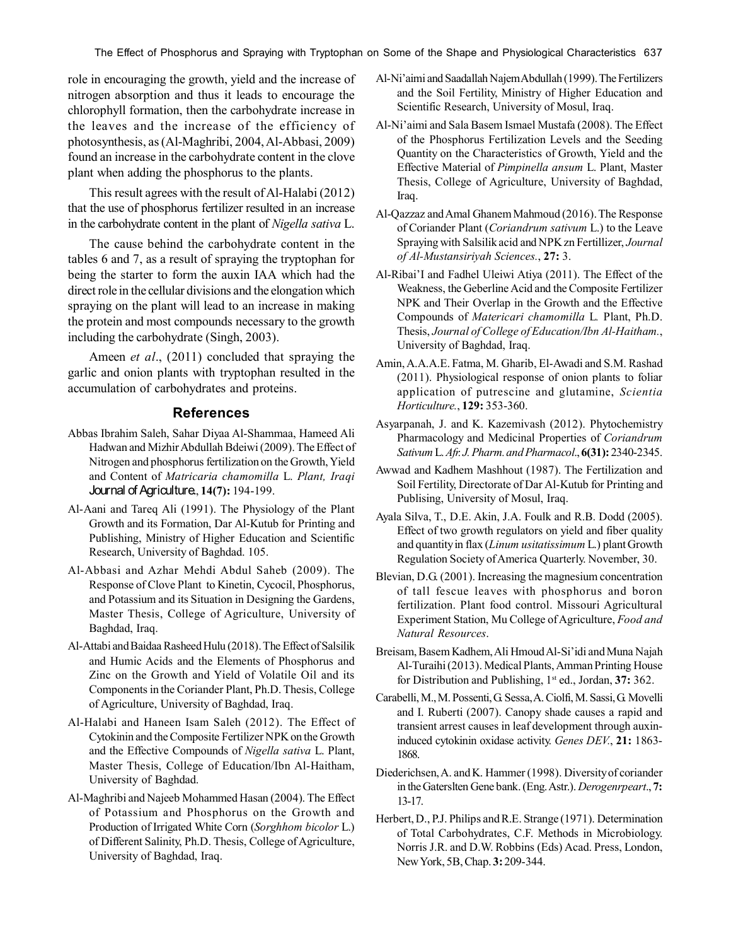The Effect of Phosphorus and Spraying with Tryptophan on Some of the Shape and Physiological Characteristics 637

role in encouraging the growth, yield and the increase of nitrogen absorption and thus it leads to encourage the chlorophyll formation, then the carbohydrate increase in the leaves and the increase of the efficiency of photosynthesis, as (Al-Maghribi, 2004, Al-Abbasi, 2009) found an increase in the carbohydrate content in the clove plant when adding the phosphorus to the plants.

This result agrees with the result of Al-Halabi (2012) that the use of phosphorus fertilizer resulted in an increase in the carbohydrate content in the plant of *Nigella sativa* L.

The cause behind the carbohydrate content in the tables 6 and 7, as a result of spraying the tryptophan for being the starter to form the auxin IAA which had the direct role in the cellular divisions and the elongation which spraying on the plant will lead to an increase in making the protein and most compounds necessary to the growth including the carbohydrate (Singh, 2003).

Ameen *et al*., (2011) concluded that spraying the garlic and onion plants with tryptophan resulted in the accumulation of carbohydrates and proteins.

## **References**

- Abbas Ibrahim Saleh, Sahar Diyaa Al-Shammaa, Hameed Ali Hadwan and Mizhir Abdullah Bdeiwi (2009). The Effect of Nitrogen and phosphorus fertilization on the Growth, Yield and Content of *Matricaria chamomilla* L. *Plant, Iraqi* Journal of Agriculture., **14(7):** 194-199.
- Al-Aani and Tareq Ali (1991). The Physiology of the Plant Growth and its Formation, Dar Al-Kutub for Printing and Publishing, Ministry of Higher Education and Scientific Research, University of Baghdad. 105.
- Al-Abbasi and Azhar Mehdi Abdul Saheb (2009). The Response of Clove Plant to Kinetin, Cycocil, Phosphorus, and Potassium and its Situation in Designing the Gardens, Master Thesis, College of Agriculture, University of Baghdad, Iraq.
- Al-Attabi and Baidaa Rasheed Hulu (2018). The Effect of Salsilik and Humic Acids and the Elements of Phosphorus and Zinc on the Growth and Yield of Volatile Oil and its Components in the Coriander Plant, Ph.D. Thesis, College of Agriculture, University of Baghdad, Iraq.
- Al-Halabi and Haneen Isam Saleh (2012). The Effect of Cytokinin and the Composite Fertilizer NPK on the Growth and the Effective Compounds of *Nigella sativa* L. Plant, Master Thesis, College of Education/Ibn Al-Haitham, University of Baghdad.
- Al-Maghribi and Najeeb Mohammed Hasan (2004). The Effect of Potassium and Phosphorus on the Growth and Production of Irrigated White Corn (*Sorghhom bicolor* L.) of Different Salinity, Ph.D. Thesis, College of Agriculture, University of Baghdad, Iraq.
- Al-Ni'aimi and Saadallah Najem Abdullah (1999). The Fertilizers and the Soil Fertility, Ministry of Higher Education and Scientific Research, University of Mosul, Iraq.
- Al-Ni'aimi and Sala Basem Ismael Mustafa (2008). The Effect of the Phosphorus Fertilization Levels and the Seeding Quantity on the Characteristics of Growth, Yield and the Effective Material of *Pimpinella ansum* L. Plant, Master Thesis, College of Agriculture, University of Baghdad, Iraq.
- Al-Qazzaz and Amal Ghanem Mahmoud (2016). The Response of Coriander Plant (*Coriandrum sativum* L.) to the Leave Spraying with Salsilik acid and NPK zn Fertillizer, *Journal of Al-Mustansiriyah Sciences.*, **27:** 3.
- Al-Ribai'I and Fadhel Uleiwi Atiya (2011). The Effect of the Weakness, the Geberline Acid and the Composite Fertilizer NPK and Their Overlap in the Growth and the Effective Compounds of *Matericari chamomilla* L*.* Plant, Ph.D. Thesis, *Journal of College of Education/Ibn Al-Haitham.*, University of Baghdad, Iraq.
- Amin, A.A.A.E. Fatma, M. Gharib, El-Awadi and S.M. Rashad (2011). Physiological response of onion plants to foliar application of putrescine and glutamine, *Scientia Horticulture.*, **129:** 353-360.
- Asyarpanah, J. and K. Kazemivash (2012). Phytochemistry Pharmacology and Medicinal Properties of *Coriandrum Sativum* L. *Afr. J. Pharm. and Pharmacol*., **6(31):** 2340-2345.
- Awwad and Kadhem Mashhout (1987). The Fertilization and Soil Fertility, Directorate of Dar Al-Kutub for Printing and Publising, University of Mosul, Iraq.
- Ayala Silva, T., D.E. Akin, J.A. Foulk and R.B. Dodd (2005). Effect of two growth regulators on yield and fiber quality and quantity in flax (*Linum usitatissimum* L.) plant Growth Regulation Society of America Quarterly. November, 30.
- Blevian, D.G. (2001). Increasing the magnesium concentration of tall fescue leaves with phosphorus and boron fertilization. Plant food control. Missouri Agricultural Experiment Station, Mu College of Agriculture, *Food and Natural Resources*.
- Breisam, Basem Kadhem, Ali Hmoud Al-Si'idi and Muna Najah Al-Turaihi (2013). Medical Plants, Amman Printing House for Distribution and Publishing, 1st ed., Jordan, **37:** 362.
- Carabelli, M., M. Possenti, G. Sessa, A. Ciolfi, M. Sassi, G. Movelli and I. Ruberti (2007). Canopy shade causes a rapid and transient arrest causes in leaf development through auxininduced cytokinin oxidase activity. *Genes DEV.*, **21:** 1863- 1868.
- Diederichsen, A. and K. Hammer (1998). Diversity of coriander in the Gaterslten Gene bank. (Eng. Astr.). *Derogenrpeart*., **7:** 13-17.
- Herbert, D., P.J. Philips and R.E. Strange (1971). Determination of Total Carbohydrates, C.F. Methods in Microbiology. Norris J.R. and D.W. Robbins (Eds) Acad. Press, London, New York, 5B, Chap. **3:** 209-344.